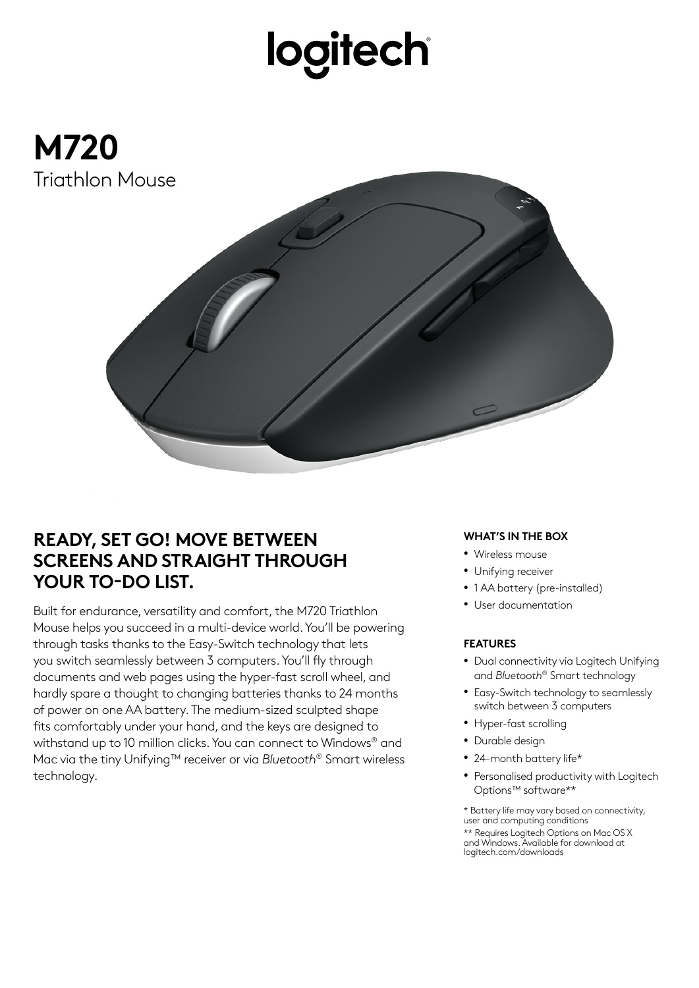# logitech



### **READY, SET GO! MOVE BETWEEN SCREENS AND STRAIGHT THROUGH YOUR TO-DO LIST.**

Built for endurance, versatility and comfort, the M720 Triathlon Mouse helps you succeed in a multi-device world. You'll be powering through tasks thanks to the Easy-Switch technology that lets you switch seamlessly between 3 computers. You'll fly through documents and web pages using the hyper-fast scroll wheel, and hardly spare a thought to changing batteries thanks to 24 months of power on one AA battery. The medium-sized sculpted shape fits comfortably under your hand, and the keys are designed to withstand up to 10 million clicks. You can connect to Windows® and Mac via the tiny Unifying™ receiver or via *Bluetooth*® Smart wireless technology.

### **WHAT'S IN THE BOX**

- Wireless mouse
- Unifying receiver
- 1 AA battery (pre-installed)
- User documentation

### **FEATURES**

- Dual connectivity via Logitech Unifying and *Bluetooth*® Smart technology
- Easy-Switch technology to seamlessly switch between 3 computers
- Hyper-fast scrolling
- Durable design
- 24-month battery life\*
- Personalised productivity with Logitech Options™ software\*\*

\* Battery life may vary based on connectivity, user and computing conditions

\*\* Requires Logitech Options on Mac OS X and Windows. Available for download at logitech.com/downloads